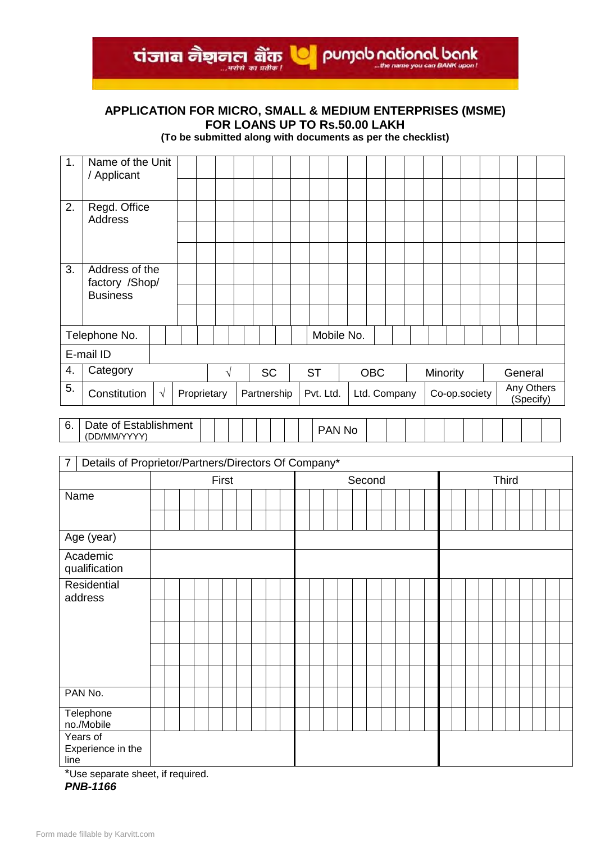**APPLICATION FOR MICRO, SMALL & MEDIUM ENTERPRISES (MSME) FOR LOANS UP TO Rs.50.00 LAKH**

ti and all the name of the property of the parties of the parties of the parties you can BANK upon!

**(To be submitted along with documents as per the checklist)**

| 1.             | Name of the Unit<br>/ Applicant                      |            |  |             |       |  |  |             |  |           |        |            |              |  |          |               |              |           |            |
|----------------|------------------------------------------------------|------------|--|-------------|-------|--|--|-------------|--|-----------|--------|------------|--------------|--|----------|---------------|--------------|-----------|------------|
|                |                                                      |            |  |             |       |  |  |             |  |           |        |            |              |  |          |               |              |           |            |
| 2.             | Regd. Office<br><b>Address</b>                       |            |  |             |       |  |  |             |  |           |        |            |              |  |          |               |              |           |            |
|                |                                                      |            |  |             |       |  |  |             |  |           |        |            |              |  |          |               |              |           |            |
| 3.             | Address of the                                       |            |  |             |       |  |  |             |  |           |        |            |              |  |          |               |              |           |            |
|                | factory /Shop/                                       |            |  |             |       |  |  |             |  |           |        |            |              |  |          |               |              |           |            |
|                | <b>Business</b>                                      |            |  |             |       |  |  |             |  |           |        |            |              |  |          |               |              |           |            |
|                |                                                      |            |  |             |       |  |  |             |  |           |        |            |              |  |          |               |              |           |            |
|                | Telephone No.                                        |            |  |             |       |  |  |             |  |           |        | Mobile No. |              |  |          |               |              |           |            |
|                | E-mail ID                                            |            |  |             |       |  |  |             |  |           |        |            |              |  |          |               |              |           |            |
| 4.             | Category                                             |            |  |             | V     |  |  | <b>SC</b>   |  | <b>ST</b> |        |            | <b>OBC</b>   |  | Minority |               |              | General   |            |
| 5.             | Constitution                                         | $\sqrt{ }$ |  | Proprietary |       |  |  | Partnership |  | Pvt. Ltd. |        |            | Ltd. Company |  |          | Co-op.society |              | (Specify) | Any Others |
| 6.             | Date of Establishment                                |            |  |             |       |  |  |             |  |           |        |            |              |  |          |               |              |           |            |
|                | (DD/MM/YYYY)                                         |            |  |             |       |  |  |             |  |           | PAN No |            |              |  |          |               |              |           |            |
| $\overline{7}$ | Details of Proprietor/Partners/Directors Of Company* |            |  |             |       |  |  |             |  |           |        |            |              |  |          |               |              |           |            |
|                |                                                      |            |  |             |       |  |  |             |  |           |        |            |              |  |          |               |              |           |            |
|                |                                                      |            |  |             | First |  |  |             |  |           |        | Second     |              |  |          |               | <b>Third</b> |           |            |
| Nomo           |                                                      |            |  |             |       |  |  |             |  |           |        |            |              |  |          |               |              |           |            |

|                                       | First |  |  |  | Second |  |  |  |  |  | <b>Third</b> |  |  |  |  |  |  |  |  |  |  |  |  |
|---------------------------------------|-------|--|--|--|--------|--|--|--|--|--|--------------|--|--|--|--|--|--|--|--|--|--|--|--|
| Name                                  |       |  |  |  |        |  |  |  |  |  |              |  |  |  |  |  |  |  |  |  |  |  |  |
|                                       |       |  |  |  |        |  |  |  |  |  |              |  |  |  |  |  |  |  |  |  |  |  |  |
| Age (year)                            |       |  |  |  |        |  |  |  |  |  |              |  |  |  |  |  |  |  |  |  |  |  |  |
| Academic<br>qualification             |       |  |  |  |        |  |  |  |  |  |              |  |  |  |  |  |  |  |  |  |  |  |  |
| Residential<br>address                |       |  |  |  |        |  |  |  |  |  |              |  |  |  |  |  |  |  |  |  |  |  |  |
|                                       |       |  |  |  |        |  |  |  |  |  |              |  |  |  |  |  |  |  |  |  |  |  |  |
|                                       |       |  |  |  |        |  |  |  |  |  |              |  |  |  |  |  |  |  |  |  |  |  |  |
|                                       |       |  |  |  |        |  |  |  |  |  |              |  |  |  |  |  |  |  |  |  |  |  |  |
|                                       |       |  |  |  |        |  |  |  |  |  |              |  |  |  |  |  |  |  |  |  |  |  |  |
| PAN No.                               |       |  |  |  |        |  |  |  |  |  |              |  |  |  |  |  |  |  |  |  |  |  |  |
| Telephone<br>no./Mobile               |       |  |  |  |        |  |  |  |  |  |              |  |  |  |  |  |  |  |  |  |  |  |  |
| Years of<br>Experience in the<br>line |       |  |  |  |        |  |  |  |  |  |              |  |  |  |  |  |  |  |  |  |  |  |  |

\*Use separate sheet, if required.

*PNB-1166*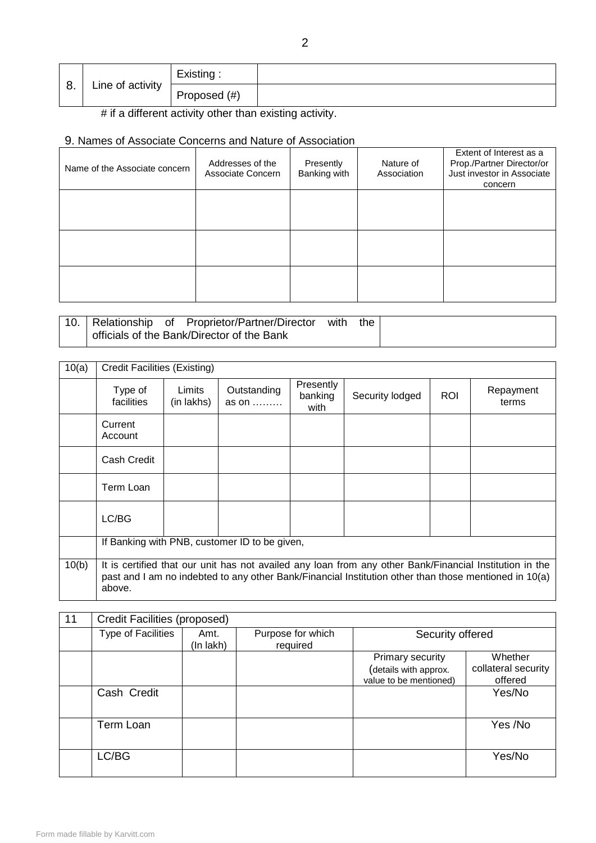| റ  |                  | Existing:    |  |
|----|------------------|--------------|--|
| o. | Line of activity | Proposed (#) |  |

# if a different activity other than existing activity.

# 9. Names of Associate Concerns and Nature of Association

| Name of the Associate concern | Addresses of the<br>Associate Concern | Presently<br>Banking with | Nature of<br>Association | Extent of Interest as a<br>Prop./Partner Director/or<br>Just investor in Associate<br>concern |
|-------------------------------|---------------------------------------|---------------------------|--------------------------|-----------------------------------------------------------------------------------------------|
|                               |                                       |                           |                          |                                                                                               |
|                               |                                       |                           |                          |                                                                                               |
|                               |                                       |                           |                          |                                                                                               |

|  | 10. Relationship of Proprietor/Partner/Director | with | the. |
|--|-------------------------------------------------|------|------|
|  | officials of the Bank/Director of the Bank      |      |      |

| 10(a) | <b>Credit Facilities (Existing)</b>                                                                                                                                                                                        |                      |                      |                              |                 |            |                    |  |  |  |
|-------|----------------------------------------------------------------------------------------------------------------------------------------------------------------------------------------------------------------------------|----------------------|----------------------|------------------------------|-----------------|------------|--------------------|--|--|--|
|       | Type of<br>facilities                                                                                                                                                                                                      | Limits<br>(in lakhs) | Outstanding<br>as on | Presently<br>banking<br>with | Security lodged | <b>ROI</b> | Repayment<br>terms |  |  |  |
|       | Current<br>Account                                                                                                                                                                                                         |                      |                      |                              |                 |            |                    |  |  |  |
|       | Cash Credit                                                                                                                                                                                                                |                      |                      |                              |                 |            |                    |  |  |  |
|       | Term Loan                                                                                                                                                                                                                  |                      |                      |                              |                 |            |                    |  |  |  |
|       | LC/BG                                                                                                                                                                                                                      |                      |                      |                              |                 |            |                    |  |  |  |
|       | If Banking with PNB, customer ID to be given,                                                                                                                                                                              |                      |                      |                              |                 |            |                    |  |  |  |
| 10(b) | It is certified that our unit has not availed any loan from any other Bank/Financial Institution in the<br>past and I am no indebted to any other Bank/Financial Institution other than those mentioned in 10(a)<br>above. |                      |                      |                              |                 |            |                    |  |  |  |

| 11 | Credit Facilities (proposed) |                   |                               |                                                                     |                                           |  |  |  |  |  |
|----|------------------------------|-------------------|-------------------------------|---------------------------------------------------------------------|-------------------------------------------|--|--|--|--|--|
|    | Type of Facilities           | Amt.<br>(In lakh) | Purpose for which<br>required | Security offered                                                    |                                           |  |  |  |  |  |
|    |                              |                   |                               | Primary security<br>(details with approx.<br>value to be mentioned) | Whether<br>collateral security<br>offered |  |  |  |  |  |
|    | Cash Credit                  |                   |                               |                                                                     | Yes/No                                    |  |  |  |  |  |
|    | Term Loan                    |                   |                               |                                                                     | Yes /No                                   |  |  |  |  |  |
|    | LC/BG                        |                   |                               |                                                                     | Yes/No                                    |  |  |  |  |  |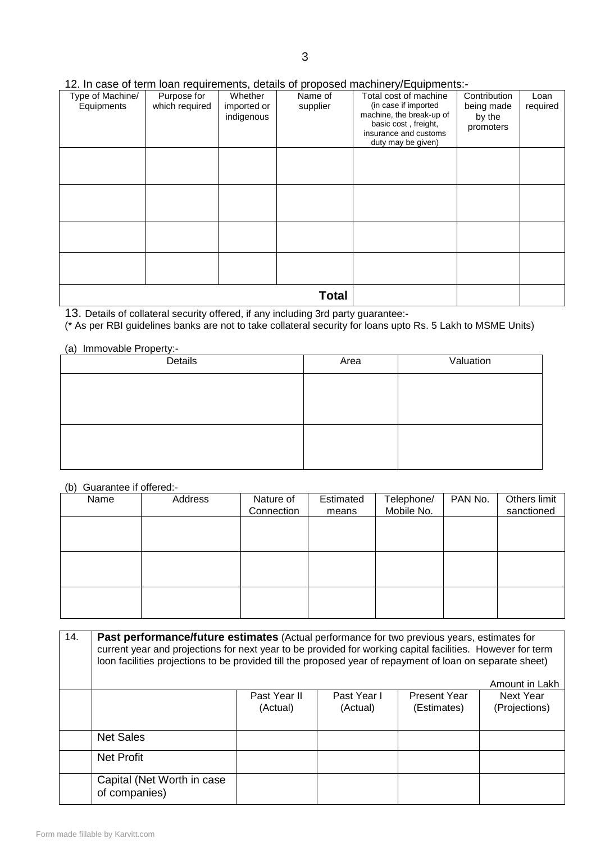## 12. In case of term loan requirements, details of proposed machinery/Equipments:-

| Type of Machine/<br>Equipments | Purpose for<br>which required | Whether<br>imported or<br>indigenous | Name of<br>supplier | Total cost of machine<br>(in case if imported<br>machine, the break-up of<br>basic cost, freight,<br>insurance and customs<br>duty may be given) | Contribution<br>being made<br>by the<br>promoters | Loan<br>required |
|--------------------------------|-------------------------------|--------------------------------------|---------------------|--------------------------------------------------------------------------------------------------------------------------------------------------|---------------------------------------------------|------------------|
|                                |                               |                                      |                     |                                                                                                                                                  |                                                   |                  |
|                                |                               |                                      |                     |                                                                                                                                                  |                                                   |                  |
|                                |                               |                                      |                     |                                                                                                                                                  |                                                   |                  |
|                                |                               |                                      |                     |                                                                                                                                                  |                                                   |                  |
|                                |                               |                                      | <b>Total</b>        |                                                                                                                                                  |                                                   |                  |

13. Details of collateral security offered, if any including 3rd party guarantee:-

(\* As per RBI guidelines banks are not to take collateral security for loans upto Rs. 5 Lakh to MSME Units)

### (a) Immovable Property:-

| Details | Area | Valuation |
|---------|------|-----------|
|         |      |           |
|         |      |           |
|         |      |           |
|         |      |           |
|         |      |           |
|         |      |           |

# (b) Guarantee if offered:-

| Name | Address | Nature of<br>Connection | Estimated<br>means | Telephone/<br>Mobile No. | PAN No. | Others limit<br>sanctioned |
|------|---------|-------------------------|--------------------|--------------------------|---------|----------------------------|
|      |         |                         |                    |                          |         |                            |
|      |         |                         |                    |                          |         |                            |
|      |         |                         |                    |                          |         |                            |
|      |         |                         |                    |                          |         |                            |
|      |         |                         |                    |                          |         |                            |

| 14. | Past performance/future estimates (Actual performance for two previous years, estimates for<br>current year and projections for next year to be provided for working capital facilities. However for term<br>loon facilities projections to be provided till the proposed year of repayment of loan on separate sheet)<br>Amount in Lakh |                          |                         |                                    |                            |  |  |  |  |  |
|-----|------------------------------------------------------------------------------------------------------------------------------------------------------------------------------------------------------------------------------------------------------------------------------------------------------------------------------------------|--------------------------|-------------------------|------------------------------------|----------------------------|--|--|--|--|--|
|     |                                                                                                                                                                                                                                                                                                                                          | Past Year II<br>(Actual) | Past Year I<br>(Actual) | <b>Present Year</b><br>(Estimates) | Next Year<br>(Projections) |  |  |  |  |  |
|     | <b>Net Sales</b>                                                                                                                                                                                                                                                                                                                         |                          |                         |                                    |                            |  |  |  |  |  |
|     | Net Profit                                                                                                                                                                                                                                                                                                                               |                          |                         |                                    |                            |  |  |  |  |  |
|     | Capital (Net Worth in case)<br>of companies)                                                                                                                                                                                                                                                                                             |                          |                         |                                    |                            |  |  |  |  |  |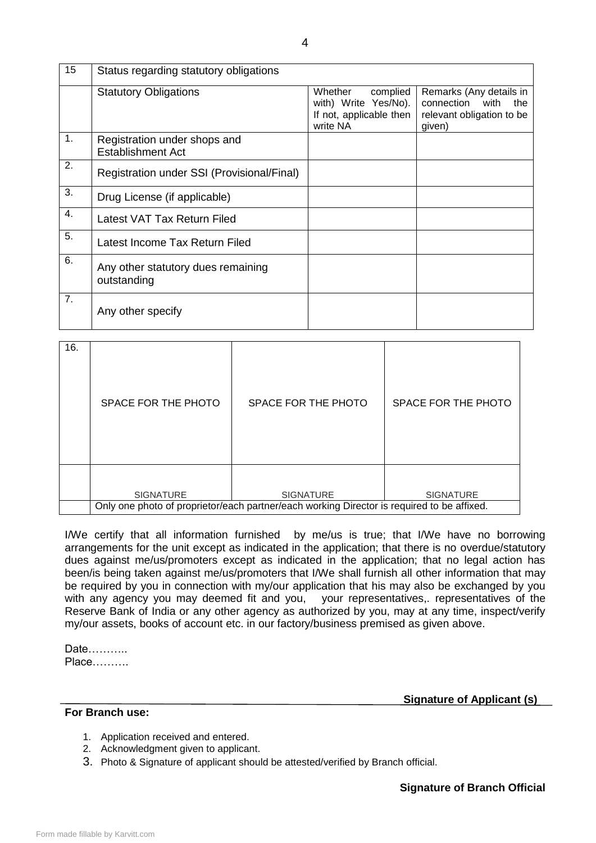| 15 | Status regarding statutory obligations                   |                                                                                    |                                                                                             |
|----|----------------------------------------------------------|------------------------------------------------------------------------------------|---------------------------------------------------------------------------------------------|
|    | <b>Statutory Obligations</b>                             | complied<br>Whether<br>with) Write Yes/No).<br>If not, applicable then<br>write NA | Remarks (Any details in<br>connection<br>with<br>the<br>relevant obligation to be<br>given) |
| 1. | Registration under shops and<br><b>Establishment Act</b> |                                                                                    |                                                                                             |
| 2. | Registration under SSI (Provisional/Final)               |                                                                                    |                                                                                             |
| 3. | Drug License (if applicable)                             |                                                                                    |                                                                                             |
| 4. | Latest VAT Tax Return Filed                              |                                                                                    |                                                                                             |
| 5. | Latest Income Tax Return Filed                           |                                                                                    |                                                                                             |
| 6. | Any other statutory dues remaining<br>outstanding        |                                                                                    |                                                                                             |
| 7. | Any other specify                                        |                                                                                    |                                                                                             |

| 16. | SPACE FOR THE PHOTO | SPACE FOR THE PHOTO                                                                                            | SPACE FOR THE PHOTO |
|-----|---------------------|----------------------------------------------------------------------------------------------------------------|---------------------|
|     | <b>SIGNATURE</b>    | <b>SIGNATURE</b><br>Only one photo of proprietor/each partner/each working Director is required to be affixed. | <b>SIGNATURE</b>    |

I/We certify that all information furnished by me/us is true; that I/We have no borrowing arrangements for the unit except as indicated in the application; that there is no overdue/statutory dues against me/us/promoters except as indicated in the application; that no legal action has been/is being taken against me/us/promoters that I/We shall furnish all other information that may be required by you in connection with my/our application that his may also be exchanged by you with any agency you may deemed fit and you, your representatives, representatives of the Reserve Bank of India or any other agency as authorized by you, may at any time, inspect/verify my/our assets, books of account etc. in our factory/business premised as given above.

Date……….. Place……….

#### **For Branch use:**

 **Signature of Applicant (s)**

- 1. Application received and entered.
- 2. Acknowledgment given to applicant.
- 3. Photo & Signature of applicant should be attested/verified by Branch official.